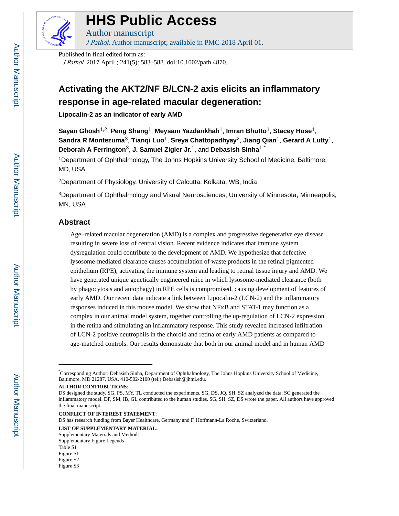

# **HHS Public Access**

Author manuscript

J Pathol. Author manuscript; available in PMC 2018 April 01.

Published in final edited form as:

J Pathol. 2017 April ; 241(5): 583–588. doi:10.1002/path.4870.

## **Activating the AKT2/NF B/LCN-2 axis elicits an inflammatory response in age-related macular degeneration:**

**Lipocalin-2 as an indicator of early AMD**

**Sayan Ghosh**1,2, **Peng Shang**1, **Meysam Yazdankhah**1, **Imran Bhutto**1, **Stacey Hose**1, **Sandra R Montezuma**3, **Tianqi Luo**1, **Sreya Chattopadhyay**2, **Jiang Qian**1, **Gerard A Lutty**1, **Deborah A Ferrington**3, **J. Samuel Zigler Jr.**1, and **Debasish Sinha**1,\*

<sup>1</sup>Department of Ophthalmology, The Johns Hopkins University School of Medicine, Baltimore, MD, USA

<sup>2</sup>Department of Physiology, University of Calcutta, Kolkata, WB, India

<sup>3</sup>Department of Ophthalmology and Visual Neurosciences, University of Minnesota, Minneapolis, MN, USA

## **Abstract**

Age–related macular degeneration (AMD) is a complex and progressive degenerative eye disease resulting in severe loss of central vision. Recent evidence indicates that immune system dysregulation could contribute to the development of AMD. We hypothesize that defective lysosome-mediated clearance causes accumulation of waste products in the retinal pigmented epithelium (RPE), activating the immune system and leading to retinal tissue injury and AMD. We have generated unique genetically engineered mice in which lysosome-mediated clearance (both by phagocytosis and autophagy) in RPE cells is compromised, causing development of features of early AMD. Our recent data indicate a link between Lipocalin-2 (LCN-2) and the inflammatory responses induced in this mouse model. We show that NFκB and STAT-1 may function as a complex in our animal model system, together controlling the up-regulation of LCN-2 expression in the retina and stimulating an inflammatory response. This study revealed increased infiltration of LCN-2 positive neutrophils in the choroid and retina of early AMD patients as compared to age-matched controls. Our results demonstrate that both in our animal model and in human AMD

**AUTHOR CONTRIBUTIONS**:

**CONFLICT OF INTEREST STATEMENT**:

DS has research funding from Bayer Healthcare, Germany and F. Hoffmann-La Roche, Switzerland.

**LIST OF SUPPLEMENTARY MATERIAL:**

Supplementary Materials and Methods

<sup>\*</sup>Corresponding Author: Debasish Sinha, Department of Ophthalmology, The Johns Hopkins University School of Medicine, Baltimore, MD 21287, USA. 410-502-2100 (tel.) Debasish@jhmi.edu.

DS designed the study. SG, PS, MY, TL conducted the experiments. SG, DS, JQ, SH, SZ analyzed the data. SC generated the inflammatory model. DF, SM, IB, GL contributed to the human studies. SG, SH, SZ, DS wrote the paper. All authors have approved the final manuscript.

Supplementary Figure Legends Table S1

Figure S1

Figure S2

Figure S3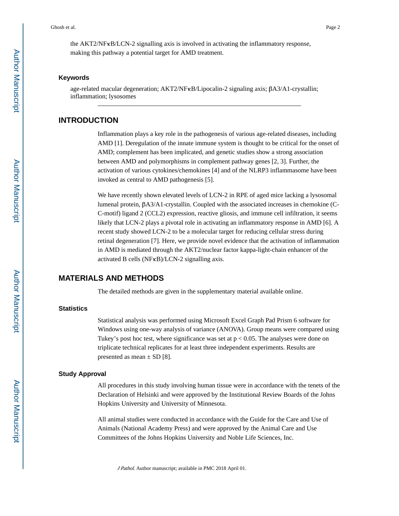the AKT2/NFκB/LCN-2 signalling axis is involved in activating the inflammatory response, making this pathway a potential target for AMD treatment.

#### **Keywords**

age-related macular degeneration; AKT2/NFκB/Lipocalin-2 signaling axis; βA3/A1-crystallin; inflammation; lysosomes

## **INTRODUCTION**

Inflammation plays a key role in the pathogenesis of various age-related diseases, including AMD [1]. Deregulation of the innate immune system is thought to be critical for the onset of AMD; complement has been implicated, and genetic studies show a strong association between AMD and polymorphisms in complement pathway genes [2, 3]. Further, the activation of various cytokines/chemokines [4] and of the NLRP3 inflammasome have been invoked as central to AMD pathogenesis [5].

We have recently shown elevated levels of LCN-2 in RPE of aged mice lacking a lysosomal lumenal protein, βA3/A1-crystallin. Coupled with the associated increases in chemokine (C-C-motif) ligand 2 (CCL2) expression, reactive gliosis, and immune cell infiltration, it seems likely that LCN-2 plays a pivotal role in activating an inflammatory response in AMD [6]. A recent study showed LCN-2 to be a molecular target for reducing cellular stress during retinal degeneration [7]. Here, we provide novel evidence that the activation of inflammation in AMD is mediated through the AKT2/nuclear factor kappa-light-chain enhancer of the activated B cells (NFκB)/LCN-2 signalling axis.

### **MATERIALS AND METHODS**

The detailed methods are given in the supplementary material available online.

#### **Statistics**

Statistical analysis was performed using Microsoft Excel Graph Pad Prism 6 software for Windows using one-way analysis of variance (ANOVA). Group means were compared using Tukey's post hoc test, where significance was set at  $p < 0.05$ . The analyses were done on triplicate technical replicates for at least three independent experiments. Results are presented as mean  $\pm$  SD [8].

#### **Study Approval**

All procedures in this study involving human tissue were in accordance with the tenets of the Declaration of Helsinki and were approved by the Institutional Review Boards of the Johns Hopkins University and University of Minnesota.

All animal studies were conducted in accordance with the Guide for the Care and Use of Animals (National Academy Press) and were approved by the Animal Care and Use Committees of the Johns Hopkins University and Noble Life Sciences, Inc.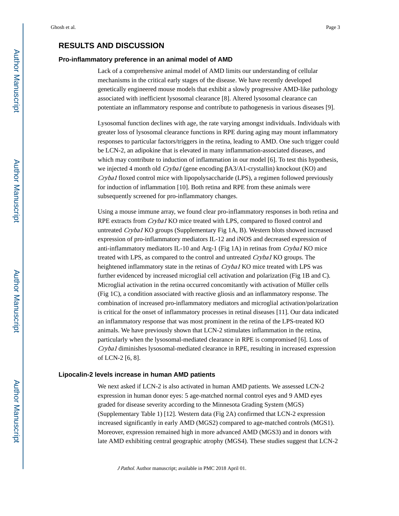#### **Pro-inflammatory preference in an animal model of AMD**

Lack of a comprehensive animal model of AMD limits our understanding of cellular mechanisms in the critical early stages of the disease. We have recently developed genetically engineered mouse models that exhibit a slowly progressive AMD-like pathology associated with inefficient lysosomal clearance [8]. Altered lysosomal clearance can potentiate an inflammatory response and contribute to pathogenesis in various diseases [9].

Lysosomal function declines with age, the rate varying amongst individuals. Individuals with greater loss of lysosomal clearance functions in RPE during aging may mount inflammatory responses to particular factors/triggers in the retina, leading to AMD. One such trigger could be LCN-2, an adipokine that is elevated in many inflammation-associated diseases, and which may contribute to induction of inflammation in our model [6]. To test this hypothesis, we injected 4 month old *Cryba1* (gene encoding βA3/A1-crystallin) knockout (KO) and Cryba1 floxed control mice with lipopolysaccharide (LPS), a regimen followed previously for induction of inflammation [10]. Both retina and RPE from these animals were subsequently screened for pro-inflammatory changes.

Using a mouse immune array, we found clear pro-inflammatory responses in both retina and RPE extracts from *Cryba1* KO mice treated with LPS, compared to floxed control and untreated Cryba1 KO groups (Supplementary Fig 1A, B). Western blots showed increased expression of pro-inflammatory mediators IL-12 and iNOS and decreased expression of anti-inflammatory mediators IL-10 and Arg-1 (Fig 1A) in retinas from Cryba1 KO mice treated with LPS, as compared to the control and untreated Cryba1 KO groups. The heightened inflammatory state in the retinas of Cryba1 KO mice treated with LPS was further evidenced by increased microglial cell activation and polarization (Fig 1B and C). Microglial activation in the retina occurred concomitantly with activation of Müller cells (Fig 1C), a condition associated with reactive gliosis and an inflammatory response. The combination of increased pro-inflammatory mediators and microglial activation/polarization is critical for the onset of inflammatory processes in retinal diseases [11]. Our data indicated an inflammatory response that was most prominent in the retina of the LPS-treated KO animals. We have previously shown that LCN-2 stimulates inflammation in the retina, particularly when the lysosomal-mediated clearance in RPE is compromised [6]. Loss of Cryba1 diminishes lysosomal-mediated clearance in RPE, resulting in increased expression of LCN-2 [6, 8].

#### **Lipocalin-2 levels increase in human AMD patients**

We next asked if LCN-2 is also activated in human AMD patients. We assessed LCN-2 expression in human donor eyes: 5 age-matched normal control eyes and 9 AMD eyes graded for disease severity according to the Minnesota Grading System (MGS) (Supplementary Table 1) [12]. Western data (Fig 2A) confirmed that LCN-2 expression increased significantly in early AMD (MGS2) compared to age-matched controls (MGS1). Moreover, expression remained high in more advanced AMD (MGS3) and in donors with late AMD exhibiting central geographic atrophy (MGS4). These studies suggest that LCN-2

J Pathol. Author manuscript; available in PMC 2018 April 01.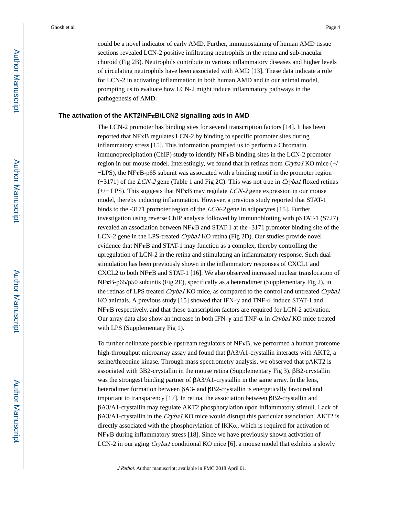Ghosh et al. Page 4

could be a novel indicator of early AMD. Further, immunostaining of human AMD tissue sections revealed LCN-2 positive infiltrating neutrophils in the retina and sub-macular choroid (Fig 2B). Neutrophils contribute to various inflammatory diseases and higher levels of circulating neutrophils have been associated with AMD [13]. These data indicate a role for LCN-2 in activating inflammation in both human AMD and in our animal model, prompting us to evaluate how LCN-2 might induce inflammatory pathways in the pathogenesis of AMD.

#### **The activation of the AKT2/NF**κ**B/LCN2 signalling axis in AMD**

The LCN-2 promoter has binding sites for several transcription factors [14]. It has been reported that NFκB regulates LCN-2 by binding to specific promoter sites during inflammatory stress [15]. This information prompted us to perform a Chromatin immunoprecipitation (ChIP) study to identify NFκB binding sites in the LCN-2 promoter region in our mouse model. Interestingly, we found that in retinas from  $Cryba1$  KO mice  $(+/$ −LPS), the NFκB-p65 subunit was associated with a binding motif in the promoter region (−3171) of the LCN-2 gene (Table 1 and Fig 2C). This was not true in Cryba1 floxed retinas  $(+/-$  LPS). This suggests that NF $\kappa$ B may regulate *LCN-2* gene expression in our mouse model, thereby inducing inflammation. However, a previous study reported that STAT-1 binds to the -3171 promoter region of the LCN-2 gene in adipocytes [15]. Further investigation using reverse ChIP analysis followed by immunoblotting with pSTAT-1 (S727) revealed an association between NFκB and STAT-1 at the -3171 promoter binding site of the LCN-2 gene in the LPS-treated Cryba1 KO retina (Fig 2D). Our studies provide novel evidence that  $N$ F $\kappa$ B and STAT-1 may function as a complex, thereby controlling the upregulation of LCN-2 in the retina and stimulating an inflammatory response. Such dual stimulation has been previously shown in the inflammatory responses of CXCL1 and CXCL2 to both NFκB and STAT-1 [16]. We also observed increased nuclear translocation of NFκB-p65/p50 subunits (Fig 2E), specifically as a heterodimer (Supplementary Fig 2), in the retinas of LPS treated Cryba1 KO mice, as compared to the control and untreated Cryba1 KO animals. A previous study [15] showed that IFN-γ and TNF-α induce STAT-1 and NFκB respectively, and that these transcription factors are required for LCN-2 activation. Our array data also show an increase in both IFN-γ and TNF-α in Cryba1 KO mice treated with LPS (Supplementary Fig 1).

To further delineate possible upstream regulators of  $NFxB$ , we performed a human proteome high-throughput microarray assay and found that βA3/A1-crystallin interacts with AKT2, a serine/threonine kinase. Through mass spectrometry analysis, we observed that pAKT2 is associated with βB2-crystallin in the mouse retina (Supplementary Fig 3). βB2-crystallin was the strongest binding partner of βA3/A1-crystallin in the same array. In the lens, heterodimer formation between βA3- and βB2-crystallin is energetically favoured and important to transparency [17]. In retina, the association between βB2-crystallin and βA3/A1-crystallin may regulate AKT2 phosphorylation upon inflammatory stimuli. Lack of βA3/A1-crystallin in the Cryba1 KO mice would disrupt this particular association. AKT2 is directly associated with the phosphorylation of IKKα, which is required for activation of NFκB during inflammatory stress [18]. Since we have previously shown activation of LCN-2 in our aging *Cryba1* conditional KO mice [6], a mouse model that exhibits a slowly

J Pathol. Author manuscript; available in PMC 2018 April 01.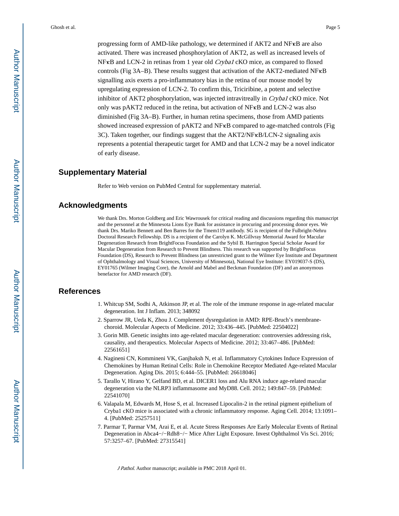Ghosh et al. Page 5

progressing form of AMD-like pathology, we determined if AKT2 and NFκB are also activated. There was increased phosphorylation of AKT2, as well as increased levels of NF<sub>K</sub>B and LCN-2 in retinas from 1 year old *Cryba1* cKO mice, as compared to floxed controls (Fig 3A–B). These results suggest that activation of the AKT2-mediated NFκB signalling axis exerts a pro-inflammatory bias in the retina of our mouse model by upregulating expression of LCN-2. To confirm this, Triciribine, a potent and selective inhibitor of AKT2 phosphorylation, was injected intravitreally in Cryba1 cKO mice. Not only was pAKT2 reduced in the retina, but activation of NFκB and LCN-2 was also diminished (Fig 3A–B). Further, in human retina specimens, those from AMD patients showed increased expression of pAKT2 and NFκB compared to age-matched controls (Fig 3C). Taken together, our findings suggest that the AKT2/NF KB/LCN-2 signaling axis represents a potential therapeutic target for AMD and that LCN-2 may be a novel indicator of early disease.

#### **Supplementary Material**

Refer to Web version on PubMed Central for supplementary material.

#### **Acknowledgments**

We thank Drs. Morton Goldberg and Eric Wawrousek for critical reading and discussions regarding this manuscript and the personnel at the Minnesota Lions Eye Bank for assistance in procuring and processing donor eyes. We thank Drs. Mariko Bennett and Ben Barres for the Tmem119 antibody. SG is recipient of the Fulbright-Nehru Doctoral Research Fellowship. DS is a recipient of the Carolyn K. McGillvray Memorial Award for Macular Degeneration Research from BrightFocus Foundation and the Sybil B. Harrington Special Scholar Award for Macular Degeneration from Research to Prevent Blindness. This research was supported by BrightFocus Foundation (DS), Research to Prevent Blindness (an unrestricted grant to the Wilmer Eye Institute and Department of Ophthalmology and Visual Sciences, University of Minnesota), National Eye Institute: EY019037-S (DS), EY01765 (Wilmer Imaging Core), the Arnold and Mabel and Beckman Foundation (DF) and an anonymous benefactor for AMD research (DF).

#### **References**

- 1. Whitcup SM, Sodhi A, Atkinson JP, et al. The role of the immune response in age-related macular degeneration. Int J Inflam. 2013; 348092
- 2. Sparrow JR, Ueda K, Zhou J. Complement dysregulation in AMD: RPE-Bruch's membranechoroid. Molecular Aspects of Medicine. 2012; 33:436–445. [PubMed: 22504022]
- 3. Gorin MB. Genetic insights into age-related macular degeneration: controversies addressing risk, causality, and therapeutics. Molecular Aspects of Medicine. 2012; 33:467–486. [PubMed: 22561651]
- 4. Nagineni CN, Kommineni VK, Ganjbaksh N, et al. Inflammatory Cytokines Induce Expression of Chemokines by Human Retinal Cells: Role in Chemokine Receptor Mediated Age-related Macular Degeneration. Aging Dis. 2015; 6:444–55. [PubMed: 26618046]
- 5. Tarallo V, Hirano Y, Gelfand BD, et al. DICER1 loss and Alu RNA induce age-related macular degeneration via the NLRP3 inflammasome and MyD88. Cell. 2012; 149:847–59. [PubMed: 22541070]
- 6. Valapala M, Edwards M, Hose S, et al. Increased Lipocalin-2 in the retinal pigment epithelium of Cryba1 cKO mice is associated with a chronic inflammatory response. Aging Cell. 2014; 13:1091– 4. [PubMed: 25257511]
- 7. Parmar T, Parmar VM, Arai E, et al. Acute Stress Responses Are Early Molecular Events of Retinal Degeneration in Abca4−/−Rdh8−/− Mice After Light Exposure. Invest Ophthalmol Vis Sci. 2016; 57:3257–67. [PubMed: 27315541]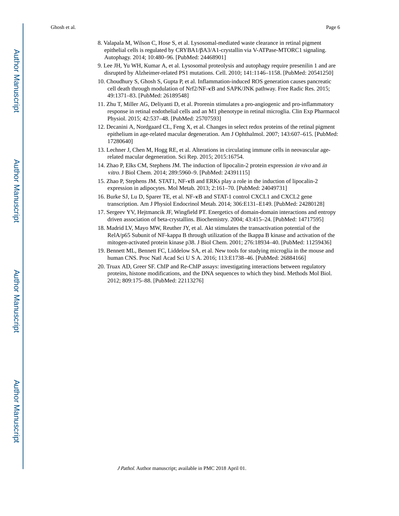Ghosh et al. Page 6

- 8. Valapala M, Wilson C, Hose S, et al. Lysosomal-mediated waste clearance in retinal pigment epithelial cells is regulated by CRYBA1/βA3/A1-crystallin via V-ATPase-MTORC1 signaling. Autophagy. 2014; 10:480–96. [PubMed: 24468901]
- 9. Lee JH, Yu WH, Kumar A, et al. Lysosomal proteolysis and autophagy require presenilin 1 and are disrupted by Alzheimer-related PS1 mutations. Cell. 2010; 141:1146–1158. [PubMed: 20541250]
- 10. Choudhury S, Ghosh S, Gupta P, et al. Inflammation-induced ROS generation causes pancreatic cell death through modulation of Nrf2/NF-κB and SAPK/JNK pathway. Free Radic Res. 2015; 49:1371–83. [PubMed: 26189548]
- 11. Zhu T, Miller AG, Deliyanti D, et al. Prorenin stimulates a pro-angiogenic and pro-inflammatory response in retinal endothelial cells and an M1 phenotype in retinal microglia. Clin Exp Pharmacol Physiol. 2015; 42:537–48. [PubMed: 25707593]
- 12. Decanini A, Nordgaard CL, Feng X, et al. Changes in select redox proteins of the retinal pigment epithelium in age-related macular degeneration. Am J Ophthalmol. 2007; 143:607–615. [PubMed: 17280640]
- 13. Lechner J, Chen M, Hogg RE, et al. Alterations in circulating immune cells in neovascular agerelated macular degeneration. Sci Rep. 2015; 2015:16754.
- 14. Zhao P, Elks CM, Stephens JM. The induction of lipocalin-2 protein expression in vivo and in vitro. J Biol Chem. 2014; 289:5960–9. [PubMed: 24391115]
- 15. Zhao P, Stephens JM. STAT1, NF-κB and ERKs play a role in the induction of lipocalin-2 expression in adipocytes. Mol Metab. 2013; 2:161–70. [PubMed: 24049731]
- 16. Burke SJ, Lu D, Sparer TE, et al. NF-κB and STAT-1 control CXCL1 and CXCL2 gene transcription. Am J Physiol Endocrinol Metab. 2014; 306:E131–E149. [PubMed: 24280128]
- 17. Sergeev YV, Hejtmancik JF, Wingfield PT. Energetics of domain-domain interactions and entropy driven association of beta-crystallins. Biochemistry. 2004; 43:415–24. [PubMed: 14717595]
- 18. Madrid LV, Mayo MW, Reuther JY, et al. Akt stimulates the transactivation potential of the RelA/p65 Subunit of NF-kappa B through utilization of the Ikappa B kinase and activation of the mitogen-activated protein kinase p38. J Biol Chem. 2001; 276:18934–40. [PubMed: 11259436]
- 19. Bennett ML, Bennett FC, Liddelow SA, et al. New tools for studying microglia in the mouse and human CNS. Proc Natl Acad Sci U S A. 2016; 113:E1738–46. [PubMed: 26884166]
- 20. Truax AD, Greer SF. ChIP and Re-ChIP assays: investigating interactions between regulatory proteins, histone modifications, and the DNA sequences to which they bind. Methods Mol Biol. 2012; 809:175–88. [PubMed: 22113276]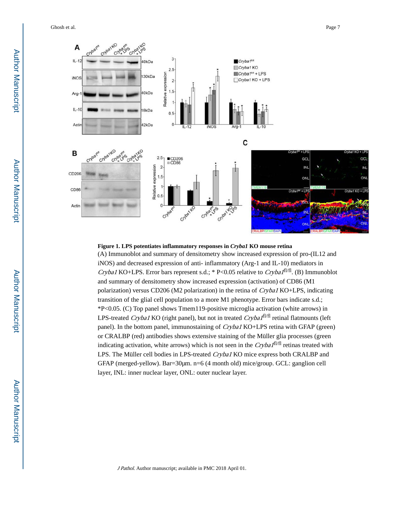Ghosh et al. Page 7



## **Figure 1. LPS potentiates inflammatory responses in** *Cryba1* **KO mouse retina** (A) Immunoblot and summary of densitometry show increased expression of pro-(IL12 and iNOS) and decreased expression of anti- inflammatory (Arg-1 and IL-10) mediators in Cryba1 KO+LPS. Error bars represent s.d.; \* P<0.05 relative to Cryba1<sup>fl/fl</sup>. (B) Immunoblot and summary of densitometry show increased expression (activation) of CD86 (M1 polarization) versus CD206 (M2 polarization) in the retina of Cryba1 KO+LPS, indicating transition of the glial cell population to a more M1 phenotype. Error bars indicate s.d.; \*P<0.05. (C) Top panel shows Tmem119-positive microglia activation (white arrows) in LPS-treated *Cryba1* KO (right panel), but not in treated *Cryba1*<sup>fl/fl</sup> retinal flatmounts (left panel). In the bottom panel, immunostaining of Cryba1 KO+LPS retina with GFAP (green) or CRALBP (red) antibodies shows extensive staining of the Müller glia processes (green indicating activation, white arrows) which is not seen in the  $Cryba1<sup>f1/f1</sup>$  retinas treated with LPS. The Müller cell bodies in LPS-treated Cryba1 KO mice express both CRALBP and GFAP (merged-yellow). Bar=30μm. n=6 (4 month old) mice/group. GCL: ganglion cell layer, INL: inner nuclear layer, ONL: outer nuclear layer.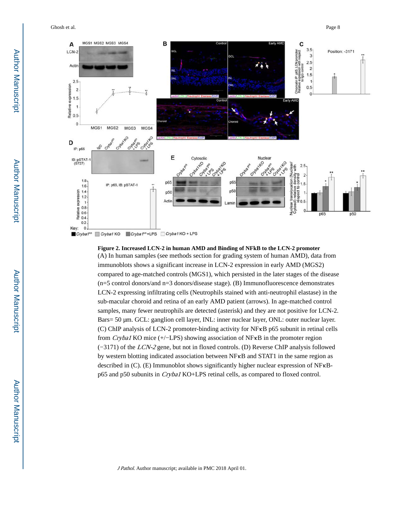Ghosh et al. Page 8



**Figure 2. Increased LCN-2 in human AMD and Binding of NFkB to the LCN-2 promoter** (A) In human samples (see methods section for grading system of human AMD), data from immunoblots shows a significant increase in LCN-2 expression in early AMD (MGS2) compared to age-matched controls (MGS1), which persisted in the later stages of the disease (n=5 control donors/and n=3 donors/disease stage). (B) Immunofluorescence demonstrates LCN-2 expressing infiltrating cells (Neutrophils stained with anti-neutrophil elastase) in the sub-macular choroid and retina of an early AMD patient (arrows). In age-matched control samples, many fewer neutrophils are detected (asterisk) and they are not positive for LCN-2. Bars= 50 μm. GCL: ganglion cell layer, INL: inner nuclear layer, ONL: outer nuclear layer. (C) ChIP analysis of LCN-2 promoter-binding activity for NFκB p65 subunit in retinal cells from Cryba1 KO mice (+/−LPS) showing association of NFκB in the promoter region (−3171) of the LCN-2 gene, but not in floxed controls. (D) Reverse ChIP analysis followed by western blotting indicated association between NFκB and STAT1 in the same region as described in (C). (E) Immunoblot shows significantly higher nuclear expression of NFκBp65 and p50 subunits in Cryba1 KO+LPS retinal cells, as compared to floxed control.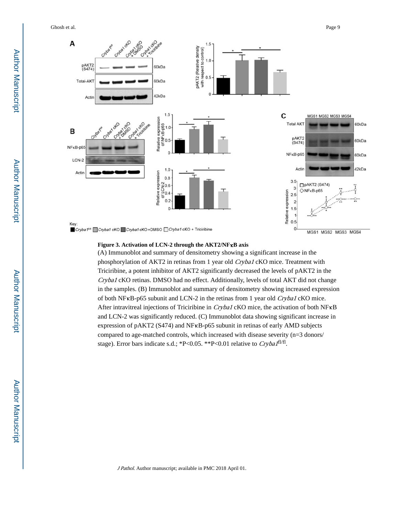Ghosh et al. Page 9



#### **Figure 3. Activation of LCN-2 through the AKT2/NF**κ**B axis**

(A) Immunoblot and summary of densitometry showing a significant increase in the phosphorylation of AKT2 in retinas from 1 year old Cryba1 cKO mice. Treatment with Triciribine, a potent inhibitor of AKT2 significantly decreased the levels of pAKT2 in the Cryba1 cKO retinas. DMSO had no effect. Additionally, levels of total AKT did not change in the samples. (B) Immunoblot and summary of densitometry showing increased expression of both NF<sub>K</sub>B-p65 subunit and LCN-2 in the retinas from 1 year old *Cryba1* cKO mice. After intravitreal injections of Triciribine in *Cryba1* cKO mice, the activation of both NF<sub>K</sub>B and LCN-2 was significantly reduced. (C) Immunoblot data showing significant increase in expression of pAKT2 (S474) and NFκB-p65 subunit in retinas of early AMD subjects compared to age-matched controls, which increased with disease severity (n=3 donors/ stage). Error bars indicate s.d.; \*P<0.05. \*\*P<0.01 relative to  $Cryba1<sup>f1/f1</sup>$ .